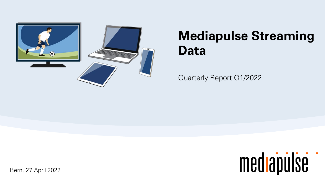

# **Mediapulse Streaming Data**

Quarterly Report Q1/2022



Bern, 27 April 2022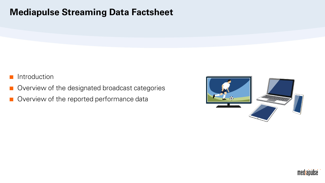#### **Mediapulse Streaming Data Factsheet**

- **Introduction**
- Overview of the designated broadcast categories
- Overview of the reported performance data



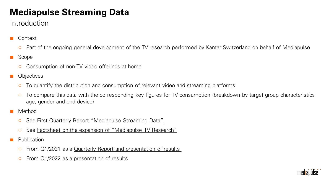### **Mediapulse Streaming Data**

#### Introduction

- **Context** 
	- Part of the ongoing general development of the TV research performed by Kantar Switzerland on behalf of Mediapulse
- Scope
	- Consumption of non-TV video offerings at home
- **Objectives** 
	- To quantify the distribution and consumption of relevant video and streaming platforms
	- o To compare this data with the corresponding key figures for TV consumption (breakdown by target group characteristics age, gender and end device)
- Method
	- See [First Quarterly Report "Mediapulse Streaming Data"](https://www.mediapulse.ch/wp-content/uploads/2021/07/210409_1_Quartalsbericht_Mediapulse_Streaming_Data.pdf)
	- See [Factsheet on the expansion of "Mediapulse TV Research"](https://www.mediapulse.ch/wp-content/uploads/2021/05/210518_01_Steckbrief_OTV_SD.pdf)
- **Publication** 
	- From Q1/2021 as a Quarterly Report and presentation of results
	- $\circ$  From Q1/2022 as a presentation of results

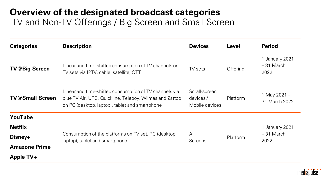#### **Overview of the designated broadcast categories** TV and Non-TV Offerings / Big Screen and Small Screen

| <b>Categories</b>      | <b>Description</b>                                                                                                                                                  | <b>Devices</b>                             | <b>Level</b> | <b>Period</b>                         |
|------------------------|---------------------------------------------------------------------------------------------------------------------------------------------------------------------|--------------------------------------------|--------------|---------------------------------------|
| <b>TV@Big Screen</b>   | Linear and time-shifted consumption of TV channels on<br>TV sets via IPTV, cable, satellite, OTT                                                                    | TV sets                                    | Offering     | 1 January 2021<br>$-31$ March<br>2022 |
| <b>TV@Small Screen</b> | Linear and time-shifted consumption of TV channels via<br>blue TV Air, UPC, Quickline, Teleboy, Wilmaa and Zattoo<br>on PC (desktop, laptop), tablet and smartphone | Small-screen<br>devices/<br>Mobile devices | Platform     | 1 May 2021 -<br>31 March 2022         |
| YouTube                |                                                                                                                                                                     |                                            |              |                                       |
| <b>Netflix</b>         |                                                                                                                                                                     |                                            |              | 1 January 2021                        |
| Disney+                | Consumption of the platforms on TV set, PC (desktop,<br>laptop), tablet and smartphone                                                                              | All<br><b>Screens</b>                      | Platform     | $-31$ March<br>2022                   |
| <b>Amazone Prime</b>   |                                                                                                                                                                     |                                            |              |                                       |
| <b>Apple TV+</b>       |                                                                                                                                                                     |                                            |              |                                       |

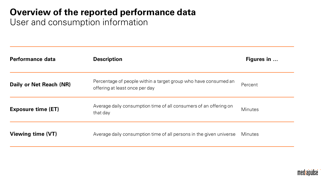### **Overview of the reported performance data**

User and consumption information

| Performance data          | <b>Description</b>                                                                                | Figures in     |
|---------------------------|---------------------------------------------------------------------------------------------------|----------------|
| Daily or Net Reach (NR)   | Percentage of people within a target group who have consumed an<br>offering at least once per day | Percent        |
| <b>Exposure time (ET)</b> | Average daily consumption time of all consumers of an offering on<br>that day                     | <b>Minutes</b> |
| Viewing time (VT)         | Average daily consumption time of all persons in the given universe                               | <b>Minutes</b> |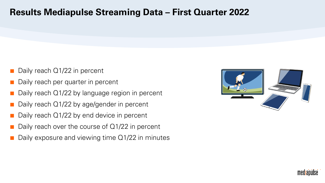#### **Results Mediapulse Streaming Data – First Quarter 2022**

- Daily reach  $Q1/22$  in percent
- Daily reach per quarter in percent
- Daily reach  $Q1/22$  by language region in percent
- Daily reach  $Q1/22$  by age/gender in percent
- Daily reach  $Q1/22$  by end device in percent
- Daily reach over the course of  $Q1/22$  in percent
- Daily exposure and viewing time  $Q1/22$  in minutes



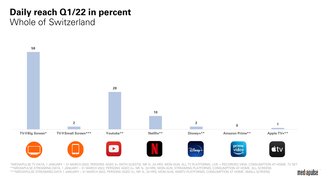# **Daily reach Q1/22 in percent**

#### Whole of Switzerland



\*MEDIAPULSE TV DATA, 1 JANUARY – 31 MARCH 2022, PERSONS AGED 3+ (WITH GUESTS), NR %, 24 HRS, MON–SUN, ALL TV PLATFORMS, LIVE + RECORDED VIEW, CONSUMPTION AT HOME, TV SET \*\*MEDIAPULSE STREAMING DATA, 1 JANUARY – 31 MARCH 2022, PERSONS AGED 3+, NR %, 24 HRS, MON–SUN, STREAMING PLATFORMS, CONSUMPTION AT HOME, ALL SCREENS \*\*\*MEDIAPULSE STREAMING DATA 1 JANUARY – 31 MARCH 2022, PERSONS AGED 3+, NR %, 24 HRS, MON–SUN, WEBTV PLATFORMS, CONSUMPTION AT HOME, SMALL SCREENS

mediapulse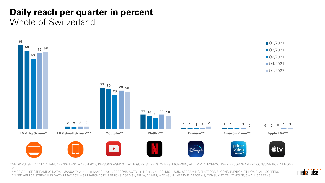#### **Daily reach per quarter in percent** Whole of Switzerland



\*MEDIAPULSE TV DATA, 1 JANUARY 2021 – 31 MARCH 2022, PERSONS AGED 3+ (WITH GUESTS), NR %, 24 HRS, MON–SUN, ALL TV PLATFORMS, LIVE + RECORDED VIEW, CONSUMPTION AT HOME, TV SET

\*\*MEDIAPULSE STREAMING DATA, 1 JANUARY 2021 – 31 MARCH 2022, PERSONS AGED 3+, NR %, 24 HRS, MON–SUN, STREAMING PLATFORMS, CONSUMPTION AT HOME, ALL SCREENS \*\*\*MEDIAPULSE STREAMING DATA 1 MAY 2021 – 31 MARCH 2022, PERSONS AGED 3+, NR %, 24 HRS, MON–SUN, WEBTV PLATFORMS, CONSUMPTION AT HOME, SMALL SCREENS

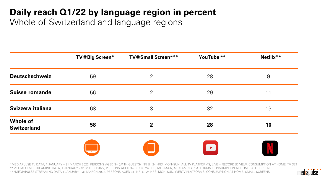## **Daily reach Q1/22 by language region in percent**

Whole of Switzerland and language regions

|                                       | <b>TV@Big Screen*</b> | <b>TV@Small Screen***</b> | YouTube ** | Netflix** |
|---------------------------------------|-----------------------|---------------------------|------------|-----------|
| <b>Deutschschweiz</b>                 | 59                    | 2                         | 28         | 9         |
| <b>Suisse romande</b>                 | 56                    | 2                         | 29         | 11        |
| Svizzera italiana                     | 68                    | 3                         | 32         | 13        |
| <b>Whole of</b><br><b>Switzerland</b> | 58                    | $\mathbf{2}$              | 28         | 10        |
|                                       |                       | $\overline{\phantom{a}}$  | $\bullet$  |           |

\*MEDIAPULSE TV DATA, 1 JANUARY – 31 MARCH 2022, PERSONS AGED 3+ (WITH GUESTS), NR %, 24 HRS, MON–SUN, ALL TV PLATFORMS, LIVE + RECORDED VIEW, CONSUMPTION AT HOME, TV SET \*\*MEDIAPULSE STREAMING DATA, 1 JANUARY – 31 MARCH 2022, PERSONS AGED 3+, NR %, 24 HRS, MON–SUN, STREAMING PLATFORMS, CONSUMPTION AT HOME, ALL SCREENS \*\*\*MEDIAPULSE STREAMING DATA 1 JANUARY – 31 MARCH 2022, PERSONS AGED 3+, NR %, 24 HRS, MON–SUN, WEBTV PLATFORMS, CONSUMPTION AT HOME, SMALL SCREENS

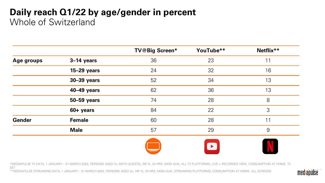#### **Daily reach Q1/22 by age/gender in percent**  Whole of Switzerland

|               |               | <b>TV@Big Screen*</b> | YouTube**             | Netflix** |
|---------------|---------------|-----------------------|-----------------------|-----------|
| Age groups    | 3-14 years    | 36                    | 23                    | 11        |
|               | $15-29$ years | 24                    | 32                    | 16        |
|               | 30-39 years   | 52                    | 34                    | 13        |
|               | 40-49 years   | 62                    | 36                    | 13        |
|               | 50-59 years   | 74                    | 28                    | 8         |
|               | 60+ years     | 84                    | 22                    | 3         |
| <b>Gender</b> | <b>Female</b> | 60                    | 28                    | 11        |
|               | <b>Male</b>   | 57                    | 29                    | 9         |
|               |               |                       | $\blacktriangleright$ |           |

\*MEDIAPULSE TV DATA, 1 JANUARY – 31 MARCH 2022, PERSONS AGED 3+ (WITH GUESTS), NR %, 24 HRS, MON–SUN, ALL TV PLATFORMS, LIVE + RECORDED VIEW, CONSUMPTION AT HOME, TV SET

\*\*MEDIAPULSE STREAMING DATA, 1 JANUARY – 31 MARCH 2022, PERSONS AGED 3+, NR %, 24 HRS, MON–SUN, STREAMING PLATFORMS, CONSUMPTION AT HOME, ALL SCREENS

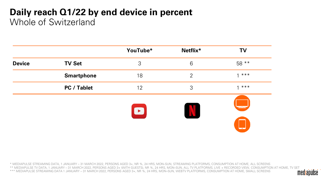#### **Daily reach Q1/22 by end device in percent**  Whole of Switzerland

|               |                    | YouTube*  | Netflix*        | <b>TV</b>                            |
|---------------|--------------------|-----------|-----------------|--------------------------------------|
| <b>Device</b> | <b>TV Set</b>      | 3         | $6\phantom{1}6$ | 58 **                                |
|               | <b>Smartphone</b>  | 18        | $\overline{2}$  | $1 * * * *$                          |
|               | <b>PC / Tablet</b> | 12        | 3               | $***$<br>$\overline{ }$              |
|               |                    | $\bullet$ | $\Lambda$       | $\equiv$<br>$\overline{\phantom{a}}$ |

\* MEDIAPULSE STREAMING DATA, 1 JANUARY – 31 MARCH 2022, PERSONS AGED 3+, NR %, 24 HRS, MON–SUN, STREAMING PLATFORMS, CONSUMPTION AT HOME, ALL SCREENS \*\* MEDIAPULSE TV DATA, 1 JANUARY – 31 MARCH 2022, PERSONS AGED 3+ (WITH GUESTS), NR %, 24 HRS, MON–SUN, ALL TV PLATFORMS, LIVE + RECORDED VIEW, CONSUMPTION AT HOME, TV SET \*\*\* MEDIAPULSE STREAMING DATA 1 JANUARY – 31 MARCH 2022, PERSONS AGED 3+, NR %, 24 HRS, MON–SUN, WEBTV PLATFORMS, CONSUMPTION AT HOME, SMALL SCREENS

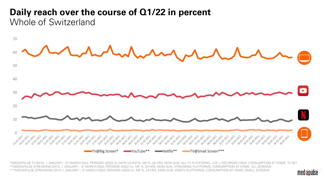#### **Daily reach over the course of Q1/22 in percent** Whole of Switzerland



\*MEDIAPULSE TV DATA, 1 JANUARY – 31 MARCH 2022, PERSONS AGED 3+ (WITH GUESTS), NR %, 24 HRS, MON–SUN, ALL TV PLATFORMS, LIVE + RECORDED VIEW, CONSUMPTION AT HOME, TV SET \*\*MEDIAPULSE STREAMING DATA, 1 JANUARY – 31 MARCH 2022, PERSONS AGED 3+, NR %, 24 HRS, MON–SUN, STREAMING PLATFORMS, CONSUMPTION AT HOME, ALL SCREENS \*\*\*MEDIAPULSE STREAMING DATA 1 JANUARY – 31 MARCH 2022, PERSONS AGED 3+, NR %, 24 HRS, MON–SUN, WEBTV PLATFORMS, CONSUMPTION AT HOME, SMALL SCREENS